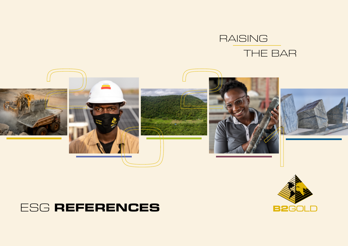# RAISING THE BAR





# ESG **REFERENCES**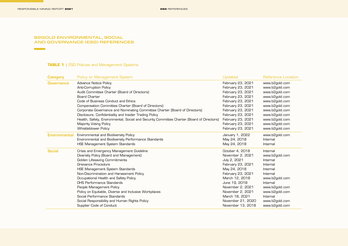**Contract Contract** 

**Contract Contract** 

#### B2GOLD ENVIRONMENTAL, SOCIAL AND GOVERNANCE (ESG) REFERENCES

## **TABLE 1** | ESG Policies and Management Systems

| Category             | <b>Policy or Management System</b>                                                        | Updated           | Reference Location |
|----------------------|-------------------------------------------------------------------------------------------|-------------------|--------------------|
| <b>Governance</b>    | <b>Advance Notice Policy</b>                                                              | February 23, 2021 | www.b2gold.com     |
|                      | <b>Anti-Corruption Policy</b>                                                             | February 23, 2021 | www.b2gold.com     |
|                      | Audit Committee Charter (Board of Directors)                                              | February 23, 2021 | www.b2gold.com     |
|                      | <b>Board Charter</b>                                                                      | February 23, 2021 | www.b2gold.com     |
|                      | Code of Business Conduct and Ethics                                                       | February 23, 2021 | www.b2gold.com     |
|                      | Compensation Committee Charter (Board of Directors)                                       | February 23, 2021 | www.b2gold.com     |
|                      | Corporate Governance and Nominating Committee Charter (Board of Directors)                | February 23, 2021 | www.b2gold.com     |
|                      | Disclosure, Confidentiality and Insider Trading Policy                                    | February 23, 2021 | www.b2gold.com     |
|                      | Health, Safety, Environmental, Social and Security Committee Charter (Board of Directors) | February 23, 2021 | www.b2gold.com     |
|                      | <b>Majority Voting Policy</b>                                                             | February 23, 2021 | www.b2gold.com     |
|                      | <b>Whistleblower Policy</b>                                                               | February 23, 2021 | www.b2gold.com     |
| <b>Environmental</b> | Environmental and Biodiversity Policy                                                     | January 1, 2022   | www.b2gold.com     |
|                      | Environmental and Biodiversity Performance Standards                                      | May 24, 2018      | Internal           |
|                      | <b>HSE Management System Standards</b>                                                    | May 24, 2018      | Internal           |
| <b>Social</b>        | Crisis and Emergency Management Guideline                                                 | October 4, 2018   | Internal           |
|                      | Diversity Policy (Board and Management)                                                   | November 2, 2021  | www.b2gold.com     |
|                      | <b>Golden Lifesaving Commitments</b>                                                      | July 2, 2021      | Internal           |
|                      | Grievance Procedure                                                                       | February 23, 2021 | Internal           |
|                      | <b>HSE Management System Standards</b>                                                    | May 24, 2018      | Internal           |
|                      | Non-Discrimination and Harassment Policy                                                  | February 23, 2021 | Internal           |
|                      | Occupational Health and Safety Policy                                                     | March 12, 2018    | www.b2gold.com     |
|                      | OHS Performance Standards                                                                 | June 19, 2018     | Internal           |
|                      | People Management Policy                                                                  | November 2, 2021  | www.b2gold.com     |
|                      | Policy on Equitable, Diverse and Inclusive Workplaces                                     | November 2, 2021  | www.b2gold.com     |
|                      | Social Performance Standards                                                              | March 18, 2021    | Internal           |
|                      | Social Responsibility and Human Rights Policy                                             | November 21, 2020 | www.b2gold.com     |
|                      | Supplier Code of Conduct                                                                  | November 13, 2018 | www.b2gold.com     |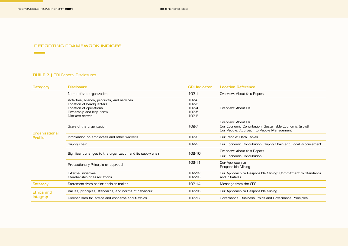RESPONSIBLE MINING REPORT **2021 ESG**SUB REFERENCES **SECTION**

**Contract Contract** 

 $\sim 10^{11}$  m  $^{-1}$ 

### REPORTING FRAMEWORK INDICES

## **TABLE 2 |** GRI General Disclosures

| <b>Category</b>                         | <b>Disclosure</b>                                                                                                                              | <b>GRI Indicator</b>                                | <b>Location Reference</b>                                                                                                 |
|-----------------------------------------|------------------------------------------------------------------------------------------------------------------------------------------------|-----------------------------------------------------|---------------------------------------------------------------------------------------------------------------------------|
| <b>Organizational</b><br><b>Profile</b> | Name of the organization                                                                                                                       | $102-1$                                             | Overview: About this Report                                                                                               |
|                                         | Activities, brands, products, and services<br>Location of headquarters<br>Location of operations<br>Ownership and legal form<br>Markets served | $102 - 2$<br>$102-3$<br>102-4<br>102-5<br>$102 - 6$ | Overview: About Us                                                                                                        |
|                                         | Scale of the organization                                                                                                                      | 102-7                                               | Overview: About Us<br>Our Economic Contribution: Sustainable Economic Growth<br>Our People: Approach to People Management |
|                                         | Information on employees and other workers                                                                                                     | $102 - 8$                                           | Our People: Data Tables                                                                                                   |
|                                         | Supply chain                                                                                                                                   | 102-9                                               | Our Economic Contribution: Supply Chain and Local Procurement                                                             |
|                                         | Significant changes to the organization and its supply chain                                                                                   | 102-10                                              | Overview: About this Report<br>Our Economic Contribution                                                                  |
|                                         | Precautionary Principle or approach                                                                                                            | 102-11                                              | Our Approach to<br>Responsible Mining                                                                                     |
|                                         | External initiatives<br>Membership of associations                                                                                             | 102-12<br>102-13                                    | Our Approach to Responsible Mining: Commitment to Standards<br>and Initiatives                                            |
| <b>Strategy</b>                         | Statement from senior decision-maker                                                                                                           | 102-14                                              | Message from the CEO                                                                                                      |
| <b>Ethics and</b>                       | Values, principles, standards, and norms of behaviour                                                                                          | 102-16                                              | Our Approach to Responsible Mining                                                                                        |
| Integrity                               | Mechanisms for advice and concerns about ethics                                                                                                | 102-17                                              | Governance: Business Ethics and Governance Principles                                                                     |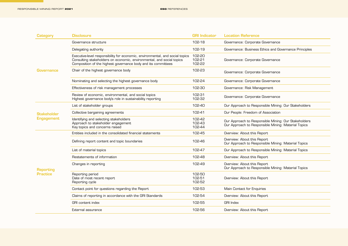<u> 1999 - Johann Barnett, fransk politiker (</u>

| <b>Category</b>    | <b>Disclosure</b>                                                                                                                                                                                                       | <b>GRI Indicator</b>       | <b>Location Reference</b>                                                                                   |
|--------------------|-------------------------------------------------------------------------------------------------------------------------------------------------------------------------------------------------------------------------|----------------------------|-------------------------------------------------------------------------------------------------------------|
|                    | Governance structure                                                                                                                                                                                                    | 102-18                     | Governance: Corporate Governance                                                                            |
| <b>Governance</b>  | Delegating authority                                                                                                                                                                                                    | 102-19                     | Governance: Business Ethics and Governance Principles                                                       |
|                    | Executive-level responsibility for economic, environmental, and social topics<br>Consulting stakeholders on economic, environmental, and social topics<br>Composition of the highest governance body and its committees | 102-20<br>102-21<br>102-22 | Governance: Corporate Governance                                                                            |
|                    | Chair of the highest governance body                                                                                                                                                                                    | 102-23                     | Governance: Corporate Governance                                                                            |
|                    | Nominating and selecting the highest governance body                                                                                                                                                                    | 102-24                     | Governance: Corporate Governance                                                                            |
|                    | Effectiveness of risk management processes                                                                                                                                                                              | 102-30                     | Governance: Risk Management                                                                                 |
|                    | Review of economic, environmental, and social topics<br>Highest governance body's role in sustainability reporting                                                                                                      | 102-31<br>102-32           | Governance: Corporate Governance                                                                            |
|                    | List of stakeholder groups                                                                                                                                                                                              | 102-40                     | Our Approach to Responsible Mining: Our Stakeholders                                                        |
| <b>Stakeholder</b> | Collective bargaining agreements                                                                                                                                                                                        | 102-41                     | Our People: Freedom of Association                                                                          |
| <b>Engagement</b>  | Identifying and selecting stakeholders<br>Approach to stakeholder engagement<br>Key topics and concerns raised                                                                                                          | 102-42<br>102-43<br>102-44 | Our Approach to Responsible Mining: Our Stakeholders<br>Our Approach to Responsible Mining: Material Topics |
|                    | Entities included in the consolidated financial statements                                                                                                                                                              | 102-45                     | Overview: About this Report                                                                                 |
|                    | Defining report content and topic boundaries                                                                                                                                                                            | 102-46                     | Overview: About this Report<br>Our Approach to Responsible Mining: Material Topics                          |
|                    | List of material topics                                                                                                                                                                                                 | 102-47                     | Our Approach to Responsible Mining: Material Topics                                                         |
|                    | Restatements of information                                                                                                                                                                                             | 102-48                     | Overview: About this Report                                                                                 |
| <b>Reporting</b>   | Changes in reporting                                                                                                                                                                                                    | 102-49                     | Overview: About this Report<br>Our Approach to Responsible Mining: Material Topics                          |
| <b>Practice</b>    | Reporting period<br>Date of most recent report<br>Reporting cycle                                                                                                                                                       | 102-50<br>102-51<br>102-52 | Overview: About this Report                                                                                 |
|                    | Contact point for questions regarding the Report                                                                                                                                                                        | 102-53                     | Main Contact for Enquiries                                                                                  |
|                    | Claims of reporting in accordance with the GRI Standards                                                                                                                                                                | 102-54                     | Overview: About this Report                                                                                 |
|                    | <b>GRI</b> content index                                                                                                                                                                                                | 102-55                     | <b>GRI Index</b>                                                                                            |
|                    | External assurance                                                                                                                                                                                                      | 102-56                     | Overview: About this Report                                                                                 |
|                    |                                                                                                                                                                                                                         |                            |                                                                                                             |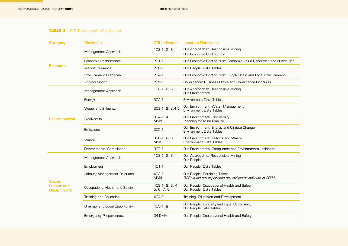<u> 1999 - Johann Barnett, fransk politiker (</u>

## **TABLE 3 |** GRI Topic-specific Disclosures

| <b>Category</b>                  | <b>Disclosure</b>               | <b>GRI Indicator</b>             | <b>Location Reference</b>                                                                  |
|----------------------------------|---------------------------------|----------------------------------|--------------------------------------------------------------------------------------------|
|                                  | Management Approach             | $103-1, 2, 3$                    | Our Approach to Responsible Mining<br>Our Economic Contribution                            |
|                                  | Economic Performance            | $201-1$                          | Our Economic Contribution: Economic Value Generated and Distributed                        |
| Economic                         | Market Presence                 | 202-2                            | Our People: Data Tables                                                                    |
|                                  | <b>Procurement Practices</b>    | 204-1                            | Our Economic Contribution: Supply Chain and Local Procurement                              |
|                                  | Anti-corruption                 | 205-2                            | Governance: Business Ethics and Governance Principles                                      |
|                                  | Management Approach             | $103-1, 2, 3$                    | Our Approach to Responsible Mining<br><b>Our Environment</b>                               |
|                                  | Energy                          | $302-1$                          | <b>Environment Data Tables</b>                                                             |
|                                  | <b>Water and Effluents</b>      | 303-1, 2, 3,4,5                  | Our Environment: Water Management<br>Environment Data Tables                               |
| <b>Environmental</b>             | Biodiversity                    | $304-1, 4$<br>MM <sub>1</sub>    | Our Environment: Biodiversity<br>Planning for Mine Closure                                 |
|                                  | Emissions                       | $305-1$                          | Our Environment: Energy and Climate Change<br>Environment Data Tables                      |
|                                  | Waste                           | $306-1, 2, 3$<br>MM <sub>3</sub> | Our Environment: Tailings and Waste<br>Environment Data Tables                             |
|                                  | <b>Environmental Compliance</b> | $307-1$                          | Our Environment: Compliance and Environmental Incidents                                    |
|                                  | Management Approach             | $103-1, 2, 3$                    | Our Approach to Responsible Mining<br>Our People                                           |
|                                  | Employment                      | 401-1                            | Our People: Data Tables                                                                    |
| Social:                          | Labour/Management Relations     | 402-1<br>MM4                     | Our People: Retaining Talent<br>B2Gold did not experience any strikes or lockouts in 2021. |
| <b>Labour and</b><br>Decent work | Occupational Health and Safety  | 403-1, 2, 3, 4,<br>5, 6, 7, 8    | Our People: Occupational Health and Safety<br>Our People: Data Tables                      |
|                                  | Training and Education          | 404-2                            | Training, Education and Development                                                        |
|                                  | Diversity and Equal Opportunity | 405-1, 2                         | Our People: Diversity and Equal Opportunity<br>Our People Data Tables                      |
|                                  | <b>Emergency Preparedness</b>   | G4-DMA                           | Our People: Occupational Health and Safety                                                 |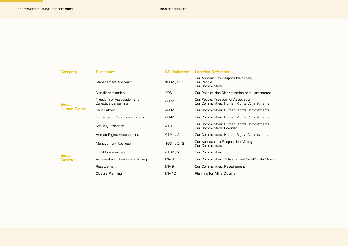<u> 1989 - Johann Barn, mars eta inperiodo</u>

| <b>Category</b>     | <b>Disclosure</b>                                          | <b>GRI</b> Indicator | <b>Location Reference</b>                                                       |
|---------------------|------------------------------------------------------------|----------------------|---------------------------------------------------------------------------------|
|                     | Management Approach                                        | $103-1, 2, 3$        | Our Approach to Responsible Mining<br>Our People<br><b>Our Communities</b>      |
|                     | Non-discrimination                                         | 406-1                | Our People: Non-Discrimination and Harassment                                   |
| Social:             | Freedom of Association and<br><b>Collective Bargaining</b> | 407-1                | Our People: Freedom of Association<br>Our Communities: Human Rights Commitments |
| <b>Human Rights</b> | Child Labour                                               | 408-1                | Our Communities: Human Rights Commitments                                       |
|                     | Forced and Compulsory Labour                               | 409-1                | Our Communities: Human Rights Commitments                                       |
|                     | <b>Security Practices</b>                                  | 410-1                | Our Communities: Human Rights Commitments<br>Our Communities: Security          |
|                     | Human Rights Assessment                                    | 412-1, 2             | Our Communities: Human Rights Commitments                                       |
|                     | Management Approach                                        | $103-1, 2, 3$        | Our Approach to Responsible Mining<br><b>Our Communities</b>                    |
| Social:             | <b>Local Communities</b>                                   | 413-1, 2             | <b>Our Communities</b>                                                          |
| <b>Society</b>      | Artisanal and Small-Scale Mining                           | MM <sub>8</sub>      | Our Communities: Artisanal and Small-Scale Mining                               |
|                     | Resettlement                                               | MM9                  | Our Communities: Resettlement                                                   |
|                     | Closure Planning                                           | MM <sub>10</sub>     | Planning for Mine Closure                                                       |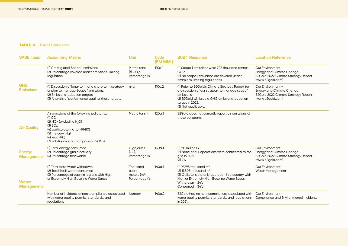<u> 1999 - Johann Barnett, fransk politiker (</u>

## **TABLE 4 |** SASB Standards

| <b>SASB Topic</b>                  | <b>Accounting Metric</b>                                                                                                                                                                                                                   | <b>Unit</b>                                            | <b>Code</b><br>(EM-MM-) | 2021 Response                                                                                                                                                                                                     | <b>Location Reference</b>                                                                                        |
|------------------------------------|--------------------------------------------------------------------------------------------------------------------------------------------------------------------------------------------------------------------------------------------|--------------------------------------------------------|-------------------------|-------------------------------------------------------------------------------------------------------------------------------------------------------------------------------------------------------------------|------------------------------------------------------------------------------------------------------------------|
| <b>GHG</b><br><b>Emissions</b>     | (1) Gross global Scope 1 emissions,<br>(2) Percentage covered under emissions-limiting<br>regulation                                                                                                                                       | Metric tons<br>(t) CO <sub>2</sub> e<br>Percentage (%) | 110a.1                  | (1) Scope 1 emissions were 722 thousand tonnes<br>CO <sub>e</sub><br>(2) No scope 1 emissions are covered under<br>emissions-limiting regulations                                                                 | Our Environment -<br><b>Energy and Climate Change</b><br>B2Gold 2022 Climate Strategy Report<br>(www.b2gold.com) |
|                                    | (1) Discussion of long-term and short-term strategy<br>or plan to manage Scope 1 emissions,<br>(2) Emissions reduction targets,<br>(3) Analysis of performance against those targets                                                       | n/a                                                    | 110a.2                  | (1) Refer to B2Gold's Climate Strategy Report for<br>a discussion of our strategy to manage scope 1<br>emissions.<br>(2) B2Gold will issue a GHG emissions reduction<br>target in 2022.<br>(3) Not applicable.    | Our Environment -<br><b>Energy and Climate Change</b><br>B2Gold 2022 Climate Strategy Report<br>(www.b2gold.com) |
| <b>Air Quality</b>                 | Air emissions of the following pollutants:<br>$(1)$ CO<br>(2) NOx (excluding N <sub>2</sub> O)<br>$(3)$ SO <sub>x</sub><br>(4) particulate matter (PM10)<br>(5) mercury (Hg)<br>$(6)$ lead $(Pb)$<br>(7) volatile organic compounds (VOCs) | Metric tons (t)                                        | 120a.1                  | B2Gold does not currently report air emissions of<br>these pollutants.                                                                                                                                            |                                                                                                                  |
| <b>Energy</b><br><b>Management</b> | (1) Total energy consumed<br>(2) Percentage grid electricity<br>(3) Percentage renewable                                                                                                                                                   | Gigajoules<br>$(GJ)$ .<br>Percentage (%)               | 130a.1                  | $(1)$ 9.0 million GJ<br>(2) None of our operations were connected to the<br>grid in 2021<br>(3) 2%                                                                                                                | Our Environment -<br><b>Energy and Climate Change</b><br>B2Gold 2022 Climate Strategy Report<br>(www.b2gold.com) |
| <b>Water</b><br><b>Management</b>  | (1) Total fresh water withdrawn<br>(2) Total fresh water consumed<br>(3) Percentage of each in regions with High<br>or Extremely High Baseline Water Stress                                                                                | Thousand<br>cubic<br>meters $(m3)$ ,<br>Percentage (%) | 140a.1                  | (1) 19,298 thousand $m^3$<br>$(2)$ 11,808 thousand m <sup>3</sup><br>(3) Otjikoto is the only operation in a country with<br>High or Extremely High Baseline Water Stress:<br>Withdrawn = $24%$<br>Consumed = 34% | Our Environment -<br><b>Water Management</b>                                                                     |
|                                    | Number of incidents of non-compliance associated<br>with water quality permits, standards, and<br>regulations                                                                                                                              | Number                                                 | 140a.2                  | B2Gold had no non-compliances associated with<br>water quality permits, standards, and regulations<br>in 2021.                                                                                                    | Our Environment -<br>Compliance and Environmental Incidents                                                      |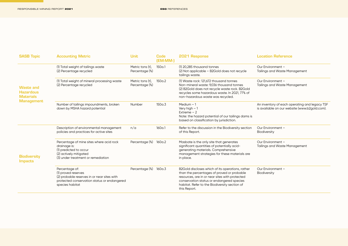<u> 1999 - Johann Barnett, fransk politiker</u>

| <b>SASB Topic</b>                                                             | <b>Accounting Metric</b>                                                                                                                               | Unit                               | <b>Code</b><br>(EM-MM-) | 2021 Response                                                                                                                                                                                                                                                  | Location Reference                                                                             |
|-------------------------------------------------------------------------------|--------------------------------------------------------------------------------------------------------------------------------------------------------|------------------------------------|-------------------------|----------------------------------------------------------------------------------------------------------------------------------------------------------------------------------------------------------------------------------------------------------------|------------------------------------------------------------------------------------------------|
|                                                                               | (1) Total weight of tailings waste<br>(2) Percentage recycled                                                                                          | Metric tons (t),<br>Percentage (%) | 150a.1                  | (1) 20.285 thousand tonnes<br>(2) Not applicable - B2Gold does not recycle<br>tailings waste.                                                                                                                                                                  | Our Environment -<br><b>Tailings and Waste Management</b>                                      |
| <b>Waste and</b><br><b>Hazardous</b><br><b>Materials</b><br><b>Management</b> | (1) Total weight of mineral processing waste<br>(2) Percentage recycled                                                                                | Metric tons (t).<br>Percentage (%) | 150a.2                  | (1) Waste rock: 121,672 thousand tonnes<br>Non-mineral waste: 9,036 thousand tonnes<br>(2) B2Gold does not recycle waste rock. B2Gold<br>recycles some hazardous waste. In 2021, 77% of<br>non-hazardous waste was recycled.                                   | Our Environment -<br><b>Tailings and Waste Management</b>                                      |
|                                                                               | Number of tailings impoundments, broken<br>down by MSHA hazard potential                                                                               | Number                             | 150a.3                  | Medium $-1$<br>Very high $-1$<br>Extreme $-2$<br>Note: the hazard potential of our tailings dams is<br>based on classification by jurisdiction.                                                                                                                | An inventory of each operating and legacy TSF<br>is available on our website (www.b2gold.com). |
| <b>Biodiversity</b><br><b>Impacts</b>                                         | Description of environmental management<br>policies and practices for active sites                                                                     | n/a                                | 160a.1                  | Refer to the discussion in the Biodiversity section<br>of this Report.                                                                                                                                                                                         | Our Environment -<br>Biodiversity                                                              |
|                                                                               | Percentage of mine sites where acid rock<br>drainage is:<br>(1) predicted to occur<br>(2) actively mitigated<br>(3) under treatment or remediation     | Percentage (%)                     | 160a.2                  | Masbate is the only site that generates<br>significant quantities of potentially acid-<br>generating materials. Comprehensive<br>management strategies for these materials are<br>in place.                                                                    | Our Environment -<br><b>Tailings and Waste Management</b>                                      |
|                                                                               | Percentage of:<br>(1) proved reserves<br>(2) probable reserves in or near sites with<br>protected conservation status or endangered<br>species habitat | Percentage (%)                     | 160a.3                  | B2Gold discloses which of its operations, rather<br>than the percentages of proved or probable<br>resources, are in or near sites with protected<br>conservation status or endangered species<br>habitat. Refer to the Biodiversity section of<br>this Report. | Our Environment -<br>Biodiversity                                                              |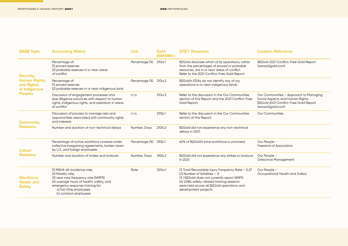<u> 1990 - Johann Barn, mars ann an t-</u>

| <b>SASB Topic</b>                                                                  | <b>Accounting Metric</b>                                                                                                                                                                                                     | <b>Unit</b>    | <b>Code</b><br>(EM-MM-) | 2021 Response                                                                                                                                                                                                                                           | Location Reference                                                                                                                     |
|------------------------------------------------------------------------------------|------------------------------------------------------------------------------------------------------------------------------------------------------------------------------------------------------------------------------|----------------|-------------------------|---------------------------------------------------------------------------------------------------------------------------------------------------------------------------------------------------------------------------------------------------------|----------------------------------------------------------------------------------------------------------------------------------------|
| Security,<br><b>Human Rights,</b><br>and Rights<br>of Indigenous<br><b>Peoples</b> | Percentage of:<br>(1) proved reserves<br>(2) probable reserves in or near areas<br>of conflict                                                                                                                               | Percentage (%) | 210a.1                  | B2Gold discloses which of its operations, rather<br>than the percentages of proved or probable<br>resources, are in or near areas of conflict.<br>Refer to the 2021 Conflict-Free Gold Report.                                                          | B2Gold 2021 Conflict-Free Gold Report<br>(www.b2gold.com)                                                                              |
|                                                                                    | Percentage of:<br>(1) proved reserves<br>(2) probable reserves in or near indigenous land                                                                                                                                    | Percentage (%) | 210a.2                  | B2Gold's ESIAs do not identify any of our<br>operations in or near indigenous lands.                                                                                                                                                                    |                                                                                                                                        |
|                                                                                    | Discussion of engagement processes and<br>due diligence practices with respect to human<br>rights, indigenous rights, and operation in areas<br>of conflict                                                                  | n/a            | 210a.3                  | Refer to the discussion in the Our Communities<br>section of this Report and the 2021 Conflict-Free<br>Gold Report.                                                                                                                                     | Our Communities - Approach to Managing<br>Social Aspects and Human Rights<br>B2Gold 2021 Conflict-Free Gold Report<br>(www.b2gold.com) |
| <b>Community</b><br><b>Relations</b>                                               | Discussion of process to manage risks and<br>opportunities associated with community rights<br>and interests                                                                                                                 | n/a            | 210b.1                  | Refer to the discussion in the Our Communities<br>section of this Report.                                                                                                                                                                               | <b>Our Communities</b>                                                                                                                 |
|                                                                                    | Number and duration of non-technical delays                                                                                                                                                                                  | Number, Days   | 210 <sub>b</sub> .2     | B2Gold did not experience any non-technical<br>delays in 2021.                                                                                                                                                                                          |                                                                                                                                        |
| Labour<br><b>Relations</b>                                                         | Percentage of active workforce covered under<br>collective bargaining agreements, broken down<br>by U.S. and foreign employees                                                                                               | Percentage (%) | 310b.1                  | 60% of B2Gold's total workforce is unionized.                                                                                                                                                                                                           | Our People -<br>Freedom of Association                                                                                                 |
|                                                                                    | Number and duration of strikes and lockouts                                                                                                                                                                                  | Number, Days   | 310b.2                  | B2Gold did not experience any strikes or lockouts<br>in 2021.                                                                                                                                                                                           | Our People -<br><b>Grievance Management</b>                                                                                            |
| <b>Workforce</b><br><b>Health and</b><br><b>Safety</b>                             | (1) MSHA all-incidence rate,<br>(2) fatality rate,<br>(3) near miss frequency rate (NMFR)<br>(4) average hours of health, safety, and<br>emergency response training for:<br>a) full-time employees<br>b) contract employees | Rate           | 320a.1                  | (1) Total Recordable Injury Frequency Rate - 0.27<br>$(2)$ Number of fatalities $-0$<br>(3) B2Gold does not currently report NMFR.<br>(4) 2,984 safety-related training sessions<br>were held across all B2Gold operations and<br>development projects. | Our People -<br>Occupational Health and Safety                                                                                         |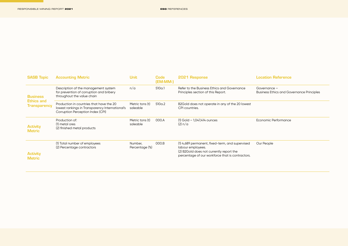<u> 1989 - Johann Barnett, fransk politiker (</u>

| <b>SASB Topic</b>                                           | <b>Accounting Metric</b>                                                                                                         | Unit                        | Code<br>(EM-MM-) | 2021 Response                                                                                                                                                        | Location Reference                                               |
|-------------------------------------------------------------|----------------------------------------------------------------------------------------------------------------------------------|-----------------------------|------------------|----------------------------------------------------------------------------------------------------------------------------------------------------------------------|------------------------------------------------------------------|
| <b>Business</b><br><b>Ethics and</b><br><b>Transparency</b> | Description of the management system<br>for prevention of corruption and bribery<br>throughout the value chain                   | n/a                         | 510a.1           | Refer to the Business Ethics and Governance<br>Principles section of this Report.                                                                                    | Governance -<br><b>Business Ethics and Governance Principles</b> |
|                                                             | Production in countries that have the 20<br>lowest rankings in Transparency International's<br>Corruption Perception Index (CPI) | Metric tons (t)<br>saleable | 510a.2           | B2Gold does not operate in any of the 20 lowest<br>CPI countries.                                                                                                    |                                                                  |
| <b>Activity</b><br><b>Metric</b>                            | Production of:<br>(1) metal ores<br>(2) finished metal products                                                                  | Metric tons (t)<br>saleable | 000.A            | $(1)$ Gold $-$ 1,047,414 ounces<br>(2) n/a                                                                                                                           | Economic Performance                                             |
| <b>Activity</b><br><b>Metric</b>                            | (1) Total number of employees<br>(2) Percentage contractors                                                                      | Number,<br>Percentage (%)   | 000.B            | (1) 4,689 permanent, fixed-term, and supervised<br>labour employees.<br>(2) B2Gold does not currently report the<br>percentage of our workforce that is contractors. | Our People                                                       |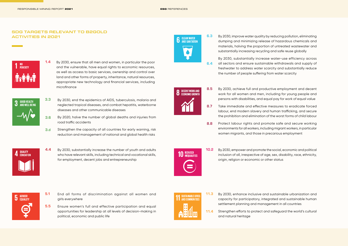### SDG TARGETS RELEVANT TO B2GOLD ACTIVITIES IN 2021



By 2030, ensure that all men and women, in particular the poor and the vulnerable, have equal rights to economic resources, as well as access to basic services, ownership and control over land and other forms of property, inheritance, natural resources, appropriate new technology and financial services, including microfinance 1.4



- By 2030, end the epidemics of AIDS, tuberculosis, malaria and neglected tropical diseases, and combat hepatitis, waterborne diseases and other communicable diseases 3.3
- By 2020, halve the number of global deaths and injuries from road traffic accidents 3.6
- Strengthen the capacity of all countries for early warning, risk reduction and management of national and global health risks 3.d



By 2030, substantially increase the number of youth and adults who have relevant skills, including technical and vocational skills, for employment, decent jobs and entrepreneurship 4.4



**6** CLEAN WATER



6.3

6.4

By 2030, achieve full and productive employment and decent work for all women and men, including for young people and persons with disabilities, and equal pay for work of equal value 8.5

the number of people suffering from water scarcity

By 2030, improve water quality by reducing pollution, eliminating dumping and minimizing release of hazardous chemicals and materials, halving the proportion of untreated wastewater and substantially increasing recycling and safe reuse globally

By 2030, substantially increase water-use efficiency across all sectors and ensure sustainable withdrawals and supply of freshwater to address water scarcity and substantially reduce

- Take immediate and effective measures to eradicate forced labour, end modern slavery and human trafficking, and secure the prohibition and elimination of the worst forms of child labour 8.7
- Protect labour rights and promote safe and secure working environments for all workers, including migrant workers, in particular women migrants, and those in precarious employment 8.8



By 2030, empower and promote the social, economic and political inclusion of all, irrespective of age, sex, disability, race, ethnicity, origin, religion or economic or other status 10.2



- End all forms of discrimination against all women and girls everywhere 5.1
- Ensure women's full and effective participation and equal opportunities for leadership at all levels of decision-making in political, economic and public life 5.5



By 2030, enhance inclusive and sustainable urbanization and capacity for participatory, integrated and sustainable human settlement planning and management in all countries 11.3

Strengthen efforts to protect and safeguard the world's cultural and natural heritage 11.4